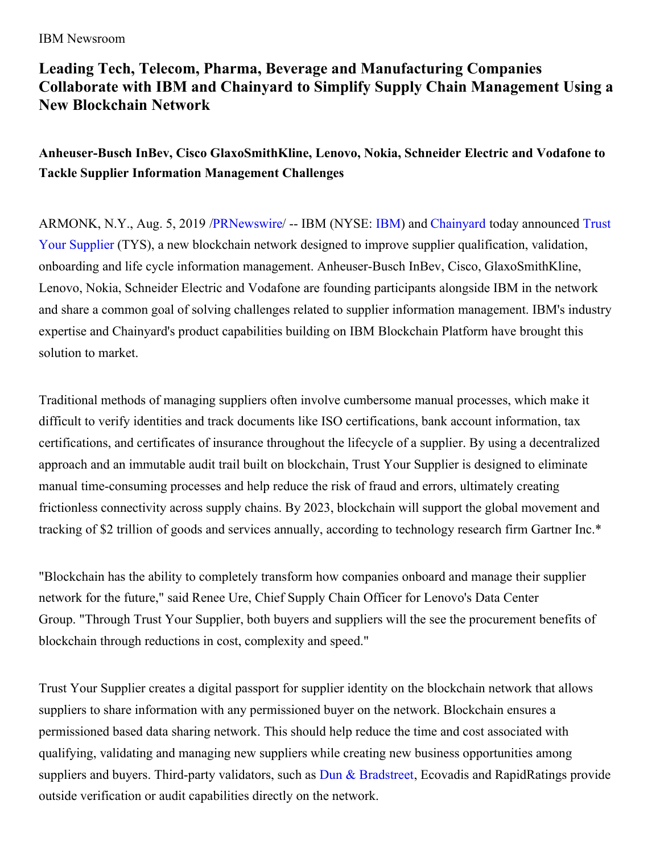## IBM Newsroom

## **Leading Tech, Telecom, Pharma, Beverage and Manufacturing Companies Collaborate with IBM and Chainyard to Simplify Supply Chain Management Using a New Blockchain Network**

**Anheuser-Busch InBev, Cisco GlaxoSmithKline, Lenovo, Nokia, Schneider Electric and Vodafone to Tackle Supplier Information Management Challenges**

ARMONK, N.Y., Aug. 5, 2019 [/](https://c212.net/c/link/?t=0&l=en&o=2542683-1&h=564281344&u=https%3A%2F%2Fwww.trustyoursupplier.com%2F&a=Trust+Your+Supplier)[PRNewswir](http://www.prnewswire.com/)[e/](https://c212.net/c/link/?t=0&l=en&o=2542683-1&h=564281344&u=https%3A%2F%2Fwww.trustyoursupplier.com%2F&a=Trust+Your+Supplier) -- IBM (NYSE: [IBM](https://c212.net/c/link/?t=0&l=en&o=2542683-1&h=1846968734&u=http%3A%2F%2Fwww.ibm.com%2Finvestor&a=IBM)) and [Chainyard](https://c212.net/c/link/?t=0&l=en&o=2542683-1&h=1722268565&u=https%3A%2F%2Fchainyard.com%2F&a=Chainyard) today announced Trust Your Supplier (TYS), a new blockchain network designed to improve supplier qualification, validation, onboarding and life cycle information management. Anheuser-Busch InBev, Cisco, GlaxoSmithKline, Lenovo, Nokia, Schneider Electric and Vodafone are founding participants alongside IBM in the network and share a common goal of solving challenges related to supplier information management. IBM's industry expertise and Chainyard's product capabilities building on IBM Blockchain Platform have brought this solution to market.

Traditional methods of managing suppliers often involve cumbersome manual processes, which make it difficult to verify identities and track documents like ISO certifications, bank account information, tax certifications, and certificates of insurance throughout the lifecycle of a supplier. By using a decentralized approach and an immutable audit trail built on blockchain, Trust Your Supplier is designed to eliminate manual time-consuming processes and help reduce the risk of fraud and errors, ultimately creating frictionless connectivity across supply chains. By 2023, blockchain will support the global movement and tracking of \$2 trillion of goods and services annually, according to technology research firm Gartner Inc.\*

"Blockchain has the ability to completely transform how companies onboard and manage their supplier network for the future," said Renee Ure, Chief Supply Chain Officer for Lenovo's Data Center Group. "Through Trust Your Supplier, both buyers and suppliers will the see the procurement benefits of blockchain through reductions in cost, complexity and speed."

Trust Your Supplier creates a digital passport for supplier identity on the blockchain network that allows suppliers to share information with any permissioned buyer on the network. Blockchain ensures a permissioned based data sharing network. This should help reduce the time and cost associated with qualifying, validating and managing new suppliers while creating new business opportunities among suppliers and buyers. Third-party validators, such as Dun & [Bradstreet](https://c212.net/c/link/?t=0&l=en&o=2542683-1&h=606618611&u=https%3A%2F%2Fwww.dnb.com%2Fmarketing%2Fmedia%2Fdnb-ibm-trust-your-supplier.html&a=Dun+%26+Bradstreet), Ecovadis and RapidRatings provide outside verification or audit capabilities directly on the network.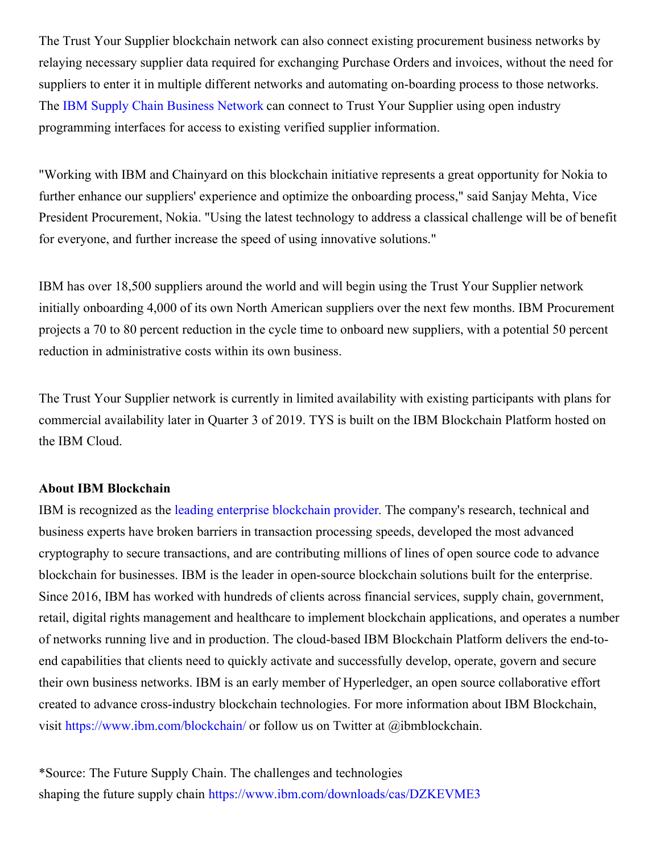The Trust Your Supplier blockchain network can also connect existing procurement business networks by relaying necessary supplier data required for exchanging Purchase Orders and invoices, without the need for suppliers to enter it in multiple different networks and automating on-boarding process to those networks. The IBM Supply Chain [Business](https://c212.net/c/link/?t=0&l=en&o=2542683-1&h=886119542&u=https%3A%2F%2Fwww.ibm.com%2Fus-en%2Fmarketplace%2Fpartner-collaboration-network&a=IBM+Supply+Chain+Business+Network) Network can connect to Trust Your Supplier using open industry programming interfaces for access to existing verified supplier information.

"Working with IBM and Chainyard on this blockchain initiative represents a great opportunity for Nokia to further enhance our suppliers' experience and optimize the onboarding process," said Sanjay Mehta, Vice President Procurement, Nokia. "Using the latest technology to address a classical challenge will be of benefit for everyone, and further increase the speed of using innovative solutions."

IBM has over 18,500 suppliers around the world and will begin using the Trust Your Supplier network initially onboarding 4,000 of its own North American suppliers over the next few months. IBM Procurement projects a 70 to 80 percent reduction in the cycle time to onboard new suppliers, with a potential 50 percent reduction in administrative costs within its own business.

The Trust Your Supplier network is currently in limited availability with existing participants with plans for commercial availability later in Quarter 3 of 2019. TYS is built on the IBM Blockchain Platform hosted on the IBM Cloud.

## **About IBM Blockchain**

IBM is recognized as the leading enterprise [blockchain](https://c212.net/c/link/?t=0&l=en&o=2542683-1&h=3668795253&u=https%3A%2F%2Fc212.net%2Fc%2Flink%2F%3Ft%3D0%26l%3Den%26o%3D2405765-1%26h%3D3746314789%26u%3Dhttps%253A%252F%252Fwww.juniperresearch.com%252Fpress%252Fpress-releases%252Fibm-ranked-no-1-blockchain-technology-leader%26a%3Dleading%2Benterprise%2Bblockchain%2Bprovider&a=leading+enterprise+blockchain+provider) provider. The company's research, technical and business experts have broken barriers in transaction processing speeds, developed the most advanced cryptography to secure transactions, and are contributing millions of lines of open source code to advance blockchain for businesses. IBM is the leader in open-source blockchain solutions built for the enterprise. Since 2016, IBM has worked with hundreds of clients across financial services, supply chain, government, retail, digital rights management and healthcare to implement blockchain applications, and operates a number of networks running live and in production. The cloud-based IBM Blockchain Platform delivers the end-toend capabilities that clients need to quickly activate and successfully develop, operate, govern and secure their own business networks. IBM is an early member of Hyperledger, an open source collaborative effort created to advance cross-industry blockchain technologies. For more information about IBM Blockchain, visit [https://www.ibm.com/blockchain/](https://c212.net/c/link/?t=0&l=en&o=2542683-1&h=3263161120&u=https%3A%2F%2Fc212.net%2Fc%2Flink%2F%3Ft%3D0%26l%3Den%26o%3D2405765-1%26h%3D3717717138%26u%3Dhttps%253A%252F%252Fwww.ibm.com%252Fblockchain%252F%26a%3Dhttps%253A%252F%252Fwww.ibm.com%252Fblockchain%252F&a=https%3A%2F%2Fwww.ibm.com%2Fblockchain%2F) or follow us on Twitter at @ibmblockchain.

\*Source: The Future Supply Chain. The challenges and technologies shaping the future supply chain [https://www.ibm.com/downloads/cas/DZKEVME3](https://c212.net/c/link/?t=0&l=en&o=2542683-1&h=1460653863&u=https%3A%2F%2Fwww.ibm.com%2Fdownloads%2Fcas%2FDZKEVME3&a=https%3A%2F%2Fwww.ibm.com%2Fdownloads%2Fcas%2FDZKEVME3)